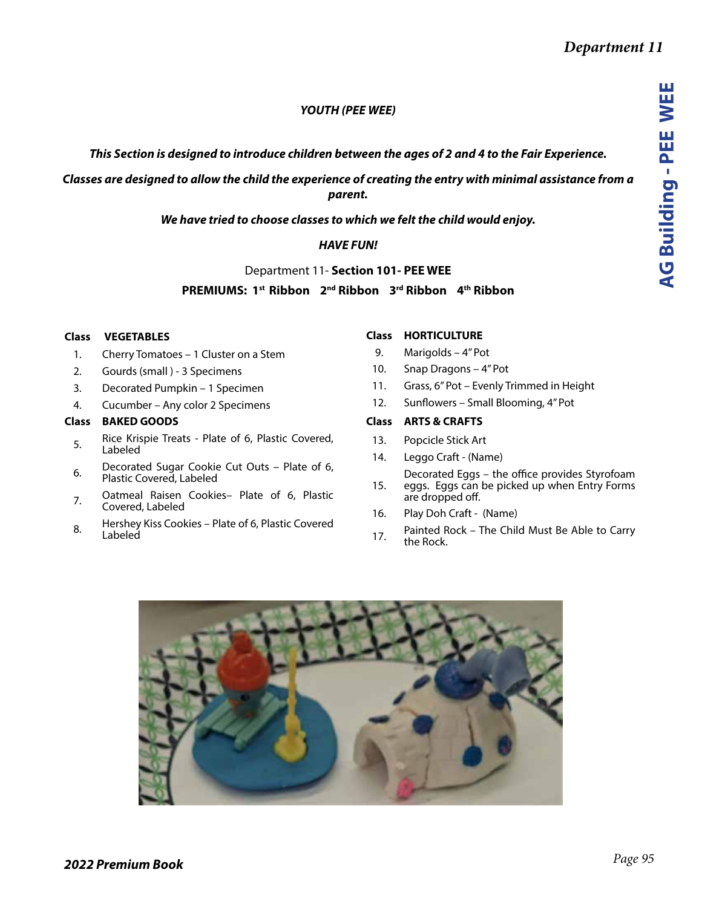## *YOUTH (PEE WEE)*

### *This Section is designed to introduce children between the ages of 2 and 4 to the Fair Experience.*

*Classes are designed to allow the child the experience of creating the entry with minimal assistance from a parent.* 

*We have tried to choose classes to which we felt the child would enjoy.* 

## *HAVE FUN!*

Department 11- **Section 101- PEE WEE**

# **PREMIUMS: 1st Ribbon 2nd Ribbon 3rd Ribbon 4th Ribbon**

#### **Class VEGETABLES**

- 1. Cherry Tomatoes 1 Cluster on a Stem
- 2. Gourds (small ) 3 Specimens
- 3. Decorated Pumpkin 1 Specimen
- 4. Cucumber Any color 2 Specimens

#### **Class BAKED GOODS**

- 5. Rice Krispie Treats Plate of 6, Plastic Covered, Labeled
- 6. Decorated Sugar Cookie Cut Outs Plate of 6, Plastic Covered, Labeled
- 7. Oatmeal Raisen Cookies– Plate of 6, Plastic Covered, Labeled
- 8. Hershey Kiss Cookies Plate of 6, Plastic Covered Labeled

#### **Class HORTICULTURE**

- 9. Marigolds 4" Pot
- 10. Snap Dragons 4" Pot
- 11. Grass, 6" Pot Evenly Trimmed in Height
- 12. Sunflowers Small Blooming, 4" Pot

#### **Class ARTS & CRAFTS**

- 13. Popcicle Stick Art
- 14. Leggo Craft (Name)
- 15. Decorated Eggs – the office provides Styrofoam eggs. Eggs can be picked up when Entry Forms are dropped off.
- 16. Play Doh Craft (Name)
- 17. Painted Rock The Child Must Be Able to Carry the Rock.